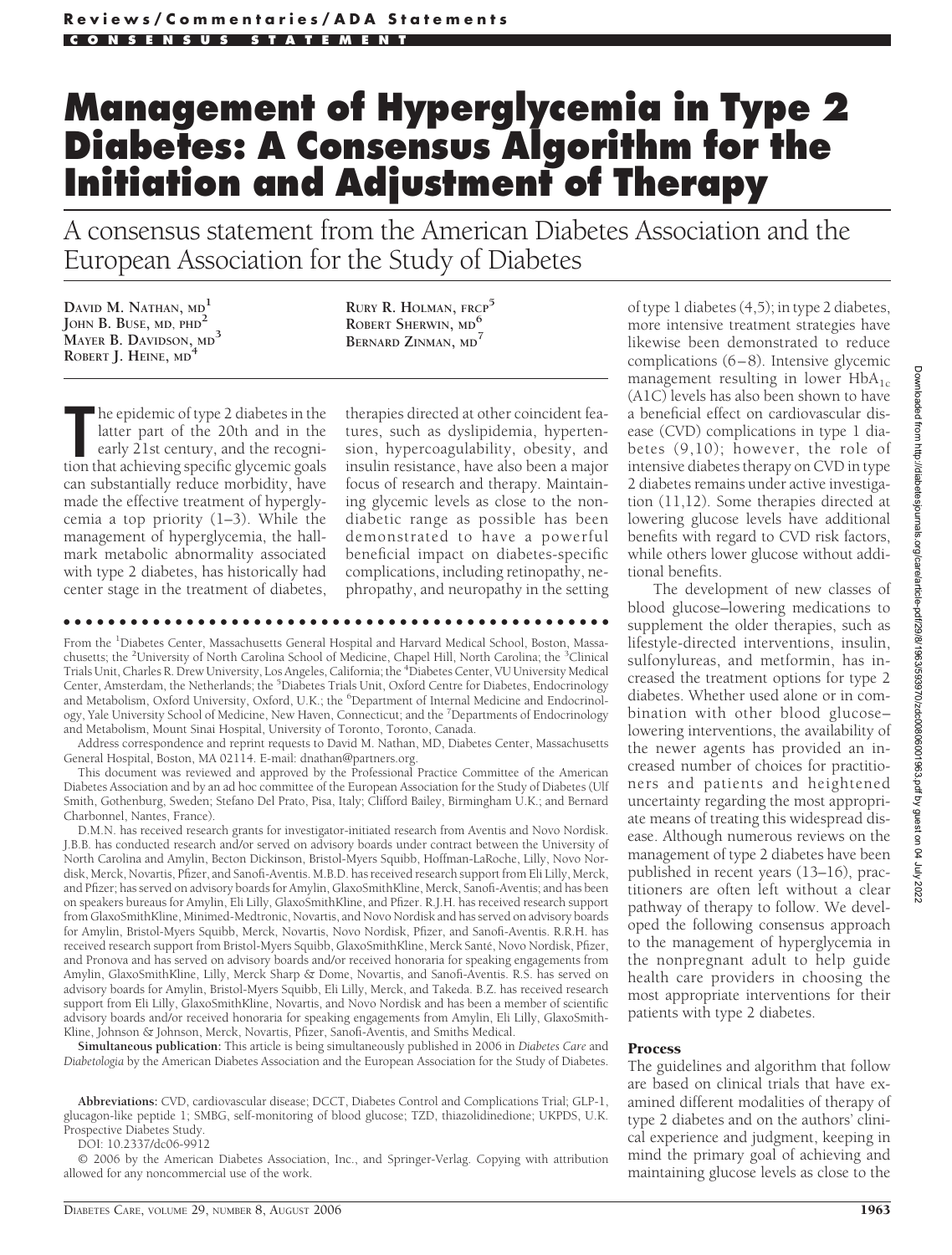# **Management of Hyperglycemia in Type 2 Diabetes: A Consensus Algorithm for the Initiation and Adjustment of Therapy**

A consensus statement from the American Diabetes Association and the European Association for the Study of Diabetes

**DAVID M. NATHAN, MD<sup>1</sup> JOHN B. BUSE, MD, PHD<sup>2</sup> MAYER B. DAVIDSON, MD<sup>3</sup> ROBERT J. HEINE, MD<sup>4</sup>**

**RURY R. HOLMAN, FRCP<sup>5</sup> ROBERT SHERWIN, MD<sup>6</sup> BERNARD ZINMAN, MD<sup>7</sup>**

The epidemic of type 2 diabetes in the latter part of the 20th and in the early 21st century, and the recognition that achieving specific glycemic goals he epidemic of type 2 diabetes in the latter part of the 20th and in the early 21st century, and the recognican substantially reduce morbidity, have made the effective treatment of hyperglycemia a top priority (1–3). While the management of hyperglycemia, the hallmark metabolic abnormality associated with type 2 diabetes, has historically had center stage in the treatment of diabetes,

therapies directed at other coincident features, such as dyslipidemia, hypertension, hypercoagulability, obesity, and insulin resistance, have also been a major focus of research and therapy. Maintaining glycemic levels as close to the nondiabetic range as possible has been demonstrated to have a powerful beneficial impact on diabetes-specific complications, including retinopathy, nephropathy, and neuropathy in the setting

#### ●●●●●●●●●●●●●●●●●●●●●●●●●●●●●●●●●●●●●●●●●●●●●●●●●

From the <sup>1</sup>Diabetes Center, Massachusetts General Hospital and Harvard Medical School, Boston, Massachusetts; the <sup>2</sup>University of North Carolina School of Medicine, Chapel Hill, North Carolina; the <sup>3</sup>Clinical Trials Unit, Charles R. Drew University, Los Angeles, California; the <sup>4</sup> Diabetes Center, VU University Medical Center, Amsterdam, the Netherlands; the <sup>5</sup>Diabetes Trials Unit, Oxford Centre for Diabetes, Endocrinology and Metabolism, Oxford University, Oxford, U.K.; the <sup>6</sup>Department of Internal Medicine and Endocrinology, Yale University School of Medicine, New Haven, Connecticut; and the <sup>7</sup> Departments of Endocrinology and Metabolism, Mount Sinai Hospital, University of Toronto, Toronto, Canada.

Address correspondence and reprint requests to David M. Nathan, MD, Diabetes Center, Massachusetts General Hospital, Boston, MA 02114. E-mail: dnathan@partners.org.

This document was reviewed and approved by the Professional Practice Committee of the American Diabetes Association and by an ad hoc committee of the European Association for the Study of Diabetes (Ulf Smith, Gothenburg, Sweden; Stefano Del Prato, Pisa, Italy; Clifford Bailey, Birmingham U.K.; and Bernard Charbonnel, Nantes, France).

D.M.N. has received research grants for investigator-initiated research from Aventis and Novo Nordisk. J.B.B. has conducted research and/or served on advisory boards under contract between the University of North Carolina and Amylin, Becton Dickinson, Bristol-Myers Squibb, Hoffman-LaRoche, Lilly, Novo Nordisk, Merck, Novartis, Pfizer, and Sanofi-Aventis. M.B.D. has received research support from Eli Lilly, Merck, and Pfizer; has served on advisory boards for Amylin, GlaxoSmithKline, Merck, Sanofi-Aventis; and has been on speakers bureaus for Amylin, Eli Lilly, GlaxoSmithKline, and Pfizer. R.J.H. has received research support from GlaxoSmithKline, Minimed-Medtronic, Novartis, and Novo Nordisk and has served on advisory boards for Amylin, Bristol-Myers Squibb, Merck, Novartis, Novo Nordisk, Pfizer, and Sanofi-Aventis. R.R.H. has received research support from Bristol-Myers Squibb, GlaxoSmithKline, Merck Santé, Novo Nordisk, Pfizer, and Pronova and has served on advisory boards and/or received honoraria for speaking engagements from Amylin, GlaxoSmithKline, Lilly, Merck Sharp & Dome, Novartis, and Sanofi-Aventis. R.S. has served on advisory boards for Amylin, Bristol-Myers Squibb, Eli Lilly, Merck, and Takeda. B.Z. has received research support from Eli Lilly, GlaxoSmithKline, Novartis, and Novo Nordisk and has been a member of scientific advisory boards and/or received honoraria for speaking engagements from Amylin, Eli Lilly, GlaxoSmith-Kline, Johnson & Johnson, Merck, Novartis, Pfizer, Sanofi-Aventis, and Smiths Medical.

**Simultaneous publication:** This article is being simultaneously published in 2006 in *Diabetes Care* and *Diabetologia* by the American Diabetes Association and the European Association for the Study of Diabetes.

**Abbreviations:** CVD, cardiovascular disease; DCCT, Diabetes Control and Complications Trial; GLP-1, glucagon-like peptide 1; SMBG, self-monitoring of blood glucose; TZD, thiazolidinedione; UKPDS, U.K. Prospective Diabetes Study.

DOI: 10.2337/dc06-9912

© 2006 by the American Diabetes Association, Inc., and Springer-Verlag. Copying with attribution allowed for any noncommercial use of the work.

of type 1 diabetes (4,5); in type 2 diabetes, more intensive treatment strategies have likewise been demonstrated to reduce complications  $(6-8)$ . Intensive glycemic management resulting in lower  $HbA_{1c}$ (A1C) levels has also been shown to have a beneficial effect on cardiovascular disease (CVD) complications in type 1 diabetes (9,10); however, the role of intensive diabetes therapy on CVD in type 2 diabetes remains under active investigation (11,12). Some therapies directed at lowering glucose levels have additional benefits with regard to CVD risk factors, while others lower glucose without additional benefits.

The development of new classes of blood glucose–lowering medications to supplement the older therapies, such as lifestyle-directed interventions, insulin, sulfonylureas, and metformin, has increased the treatment options for type 2 diabetes. Whether used alone or in combination with other blood glucose– lowering interventions, the availability of the newer agents has provided an increased number of choices for practitioners and patients and heightened uncertainty regarding the most appropriate means of treating this widespread disease. Although numerous reviews on the management of type 2 diabetes have been published in recent years (13–16), practitioners are often left without a clear pathway of therapy to follow. We developed the following consensus approach to the management of hyperglycemia in the nonpregnant adult to help guide health care providers in choosing the most appropriate interventions for their patients with type 2 diabetes.

#### **Process**

The guidelines and algorithm that follow are based on clinical trials that have examined different modalities of therapy of type 2 diabetes and on the authors' clinical experience and judgment, keeping in mind the primary goal of achieving and maintaining glucose levels as close to the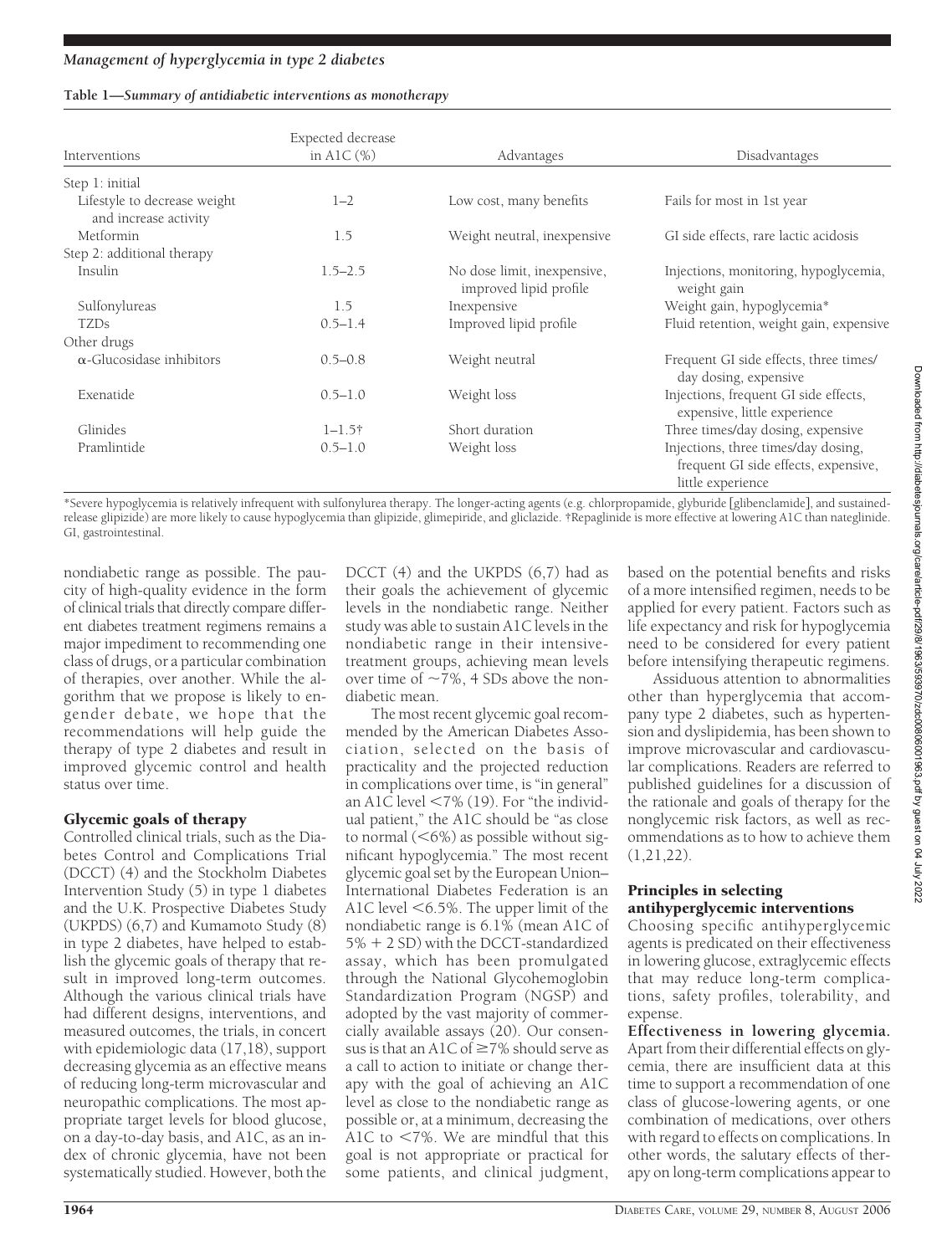|  | Table 1-Summary of antidiabetic interventions as monotherapy |  |
|--|--------------------------------------------------------------|--|
|  |                                                              |  |

| Interventions                                         | Expected decrease<br>in A1C $(\%)$ | Advantages                                            | Disadvantages                                                                                    |
|-------------------------------------------------------|------------------------------------|-------------------------------------------------------|--------------------------------------------------------------------------------------------------|
| Step 1: initial                                       |                                    |                                                       |                                                                                                  |
| Lifestyle to decrease weight<br>and increase activity | $1 - 2$                            | Low cost, many benefits                               | Fails for most in 1st year                                                                       |
| Metformin                                             | 1.5                                | Weight neutral, inexpensive                           | GI side effects, rare lactic acidosis                                                            |
| Step 2: additional therapy                            |                                    |                                                       |                                                                                                  |
| Insulin                                               | $1.5 - 2.5$                        | No dose limit, inexpensive,<br>improved lipid profile | Injections, monitoring, hypoglycemia,<br>weight gain                                             |
| Sulfonylureas                                         | 1.5                                | Inexpensive                                           | Weight gain, hypoglycemia*                                                                       |
| <b>TZDs</b>                                           | $0.5 - 1.4$                        | Improved lipid profile                                | Fluid retention, weight gain, expensive                                                          |
| Other drugs                                           |                                    |                                                       |                                                                                                  |
| $\alpha$ -Glucosidase inhibitors                      | $0.5 - 0.8$                        | Weight neutral                                        | Frequent GI side effects, three times/<br>day dosing, expensive                                  |
| Exenatide                                             | $0.5 - 1.0$                        | Weight loss                                           | Injections, frequent GI side effects,<br>expensive, little experience                            |
| Glinides                                              | $1 - 1.5$ †                        | Short duration                                        | Three times/day dosing, expensive                                                                |
| Pramlintide                                           | $0.5 - 1.0$                        | Weight loss                                           | Injections, three times/day dosing,<br>frequent GI side effects, expensive,<br>little experience |

\*Severe hypoglycemia is relatively infrequent with sulfonylurea therapy. The longer-acting agents (e.g. chlorpropamide, glyburide glibenclamide, and sustainedrelease glipizide) are more likely to cause hypoglycemia than glipizide, glimepiride, and gliclazide. †Repaglinide is more effective at lowering A1C than nateglinide. GI, gastrointestinal.

nondiabetic range as possible. The paucity of high-quality evidence in the form of clinical trials that directly compare different diabetes treatment regimens remains a major impediment to recommending one class of drugs, or a particular combination of therapies, over another. While the algorithm that we propose is likely to engender debate, we hope that the recommendations will help guide the therapy of type 2 diabetes and result in improved glycemic control and health status over time.

# Glycemic goals of therapy

Controlled clinical trials, such as the Diabetes Control and Complications Trial (DCCT) (4) and the Stockholm Diabetes Intervention Study (5) in type 1 diabetes and the U.K. Prospective Diabetes Study (UKPDS) (6,7) and Kumamoto Study (8) in type 2 diabetes, have helped to establish the glycemic goals of therapy that result in improved long-term outcomes. Although the various clinical trials have had different designs, interventions, and measured outcomes, the trials, in concert with epidemiologic data (17,18), support decreasing glycemia as an effective means of reducing long-term microvascular and neuropathic complications. The most appropriate target levels for blood glucose, on a day-to-day basis, and A1C, as an index of chronic glycemia, have not been systematically studied. However, both the

DCCT (4) and the UKPDS (6,7) had as their goals the achievement of glycemic levels in the nondiabetic range. Neither study was able to sustain A1C levels in the nondiabetic range in their intensivetreatment groups, achieving mean levels over time of  $\sim 7\%$ , 4 SDs above the nondiabetic mean.

The most recent glycemic goal recommended by the American Diabetes Association, selected on the basis of practicality and the projected reduction in complications over time, is "in general" an A1C level  $<$ 7% (19). For "the individual patient," the A1C should be "as close to normal  $(<$ 6%) as possible without significant hypoglycemia." The most recent glycemic goal set by the European Union– International Diabetes Federation is an A1C level  $<$  6.5%. The upper limit of the nondiabetic range is 6.1% (mean A1C of  $5% + 2$  SD) with the DCCT-standardized assay, which has been promulgated through the National Glycohemoglobin Standardization Program (NGSP) and adopted by the vast majority of commercially available assays (20). Our consensus is that an A1C of  $\geq$ 7% should serve as a call to action to initiate or change therapy with the goal of achieving an A1C level as close to the nondiabetic range as possible or, at a minimum, decreasing the A1C to  $\leq 7\%$ . We are mindful that this goal is not appropriate or practical for some patients, and clinical judgment,

based on the potential benefits and risks of a more intensified regimen, needs to be applied for every patient. Factors such as life expectancy and risk for hypoglycemia need to be considered for every patient before intensifying therapeutic regimens.

Assiduous attention to abnormalities other than hyperglycemia that accompany type 2 diabetes, such as hypertension and dyslipidemia, has been shown to improve microvascular and cardiovascular complications. Readers are referred to published guidelines for a discussion of the rationale and goals of therapy for the nonglycemic risk factors, as well as recommendations as to how to achieve them (1,21,22).

# Principles in selecting antihyperglycemic interventions

Choosing specific antihyperglycemic agents is predicated on their effectiveness in lowering glucose, extraglycemic effects that may reduce long-term complications, safety profiles, tolerability, and expense.

**Effectiveness in lowering glycemia.** Apart from their differential effects on glycemia, there are insufficient data at this time to support a recommendation of one class of glucose-lowering agents, or one combination of medications, over others with regard to effects on complications. In other words, the salutary effects of therapy on long-term complications appear to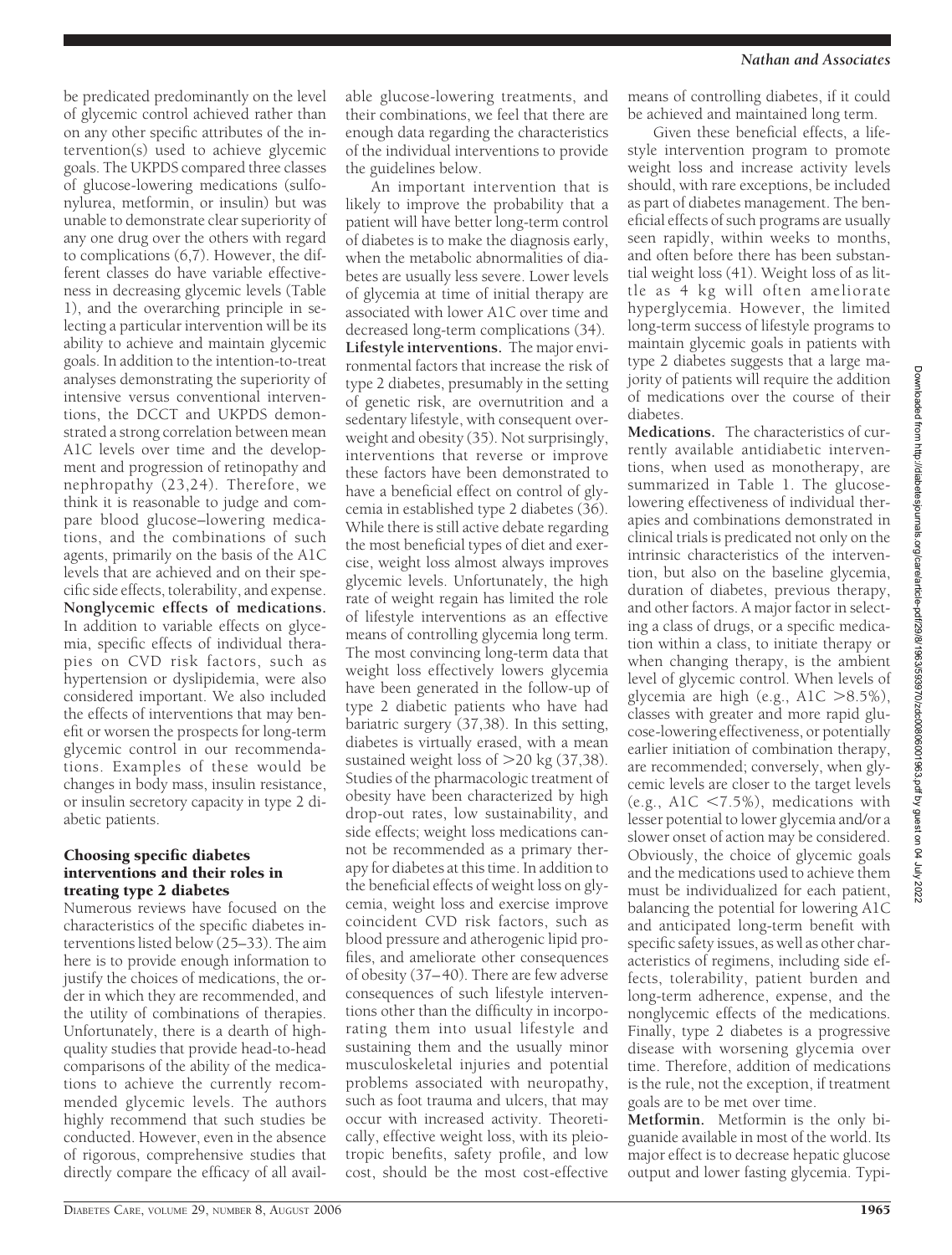be predicated predominantly on the level of glycemic control achieved rather than on any other specific attributes of the intervention(s) used to achieve glycemic goals. The UKPDS compared three classes of glucose-lowering medications (sulfonylurea, metformin, or insulin) but was unable to demonstrate clear superiority of any one drug over the others with regard to complications (6,7). However, the different classes do have variable effectiveness in decreasing glycemic levels (Table 1), and the overarching principle in selecting a particular intervention will be its ability to achieve and maintain glycemic goals. In addition to the intention-to-treat analyses demonstrating the superiority of intensive versus conventional interventions, the DCCT and UKPDS demonstrated a strong correlation between mean A1C levels over time and the development and progression of retinopathy and nephropathy (23,24). Therefore, we think it is reasonable to judge and compare blood glucose–lowering medications, and the combinations of such agents, primarily on the basis of the A1C levels that are achieved and on their specific side effects, tolerability, and expense. **Nonglycemic effects of medications.** In addition to variable effects on glycemia, specific effects of individual therapies on CVD risk factors, such as hypertension or dyslipidemia, were also considered important. We also included the effects of interventions that may benefit or worsen the prospects for long-term glycemic control in our recommendations. Examples of these would be changes in body mass, insulin resistance, or insulin secretory capacity in type 2 diabetic patients.

# Choosing specific diabetes interventions and their roles in treating type 2 diabetes

Numerous reviews have focused on the characteristics of the specific diabetes interventions listed below (25–33). The aim here is to provide enough information to justify the choices of medications, the order in which they are recommended, and the utility of combinations of therapies. Unfortunately, there is a dearth of highquality studies that provide head-to-head comparisons of the ability of the medications to achieve the currently recommended glycemic levels. The authors highly recommend that such studies be conducted. However, even in the absence of rigorous, comprehensive studies that directly compare the efficacy of all available glucose-lowering treatments, and their combinations, we feel that there are enough data regarding the characteristics of the individual interventions to provide the guidelines below.

An important intervention that is likely to improve the probability that a patient will have better long-term control of diabetes is to make the diagnosis early, when the metabolic abnormalities of diabetes are usually less severe. Lower levels of glycemia at time of initial therapy are associated with lower A1C over time and decreased long-term complications (34). **Lifestyle interventions.** The major environmental factors that increase the risk of type 2 diabetes, presumably in the setting of genetic risk, are overnutrition and a sedentary lifestyle, with consequent overweight and obesity (35). Not surprisingly, interventions that reverse or improve these factors have been demonstrated to have a beneficial effect on control of glycemia in established type 2 diabetes (36). While there is still active debate regarding the most beneficial types of diet and exercise, weight loss almost always improves glycemic levels. Unfortunately, the high rate of weight regain has limited the role of lifestyle interventions as an effective means of controlling glycemia long term. The most convincing long-term data that weight loss effectively lowers glycemia have been generated in the follow-up of type 2 diabetic patients who have had bariatric surgery (37,38). In this setting, diabetes is virtually erased, with a mean sustained weight loss of  $>$ 20 kg (37,38). Studies of the pharmacologic treatment of obesity have been characterized by high drop-out rates, low sustainability, and side effects; weight loss medications cannot be recommended as a primary therapy for diabetes at this time. In addition to the beneficial effects of weight loss on glycemia, weight loss and exercise improve coincident CVD risk factors, such as blood pressure and atherogenic lipid profiles, and ameliorate other consequences of obesity (37– 40). There are few adverse consequences of such lifestyle interventions other than the difficulty in incorporating them into usual lifestyle and sustaining them and the usually minor musculoskeletal injuries and potential problems associated with neuropathy, such as foot trauma and ulcers, that may occur with increased activity. Theoretically, effective weight loss, with its pleiotropic benefits, safety profile, and low cost, should be the most cost-effective

means of controlling diabetes, if it could be achieved and maintained long term.

Given these beneficial effects, a lifestyle intervention program to promote weight loss and increase activity levels should, with rare exceptions, be included as part of diabetes management. The beneficial effects of such programs are usually seen rapidly, within weeks to months, and often before there has been substantial weight loss (41). Weight loss of as little as 4 kg will often ameliorate hyperglycemia. However, the limited long-term success of lifestyle programs to maintain glycemic goals in patients with type 2 diabetes suggests that a large majority of patients will require the addition of medications over the course of their diabetes.

**Medications.** The characteristics of currently available antidiabetic interventions, when used as monotherapy, are summarized in Table 1. The glucoselowering effectiveness of individual therapies and combinations demonstrated in clinical trials is predicated not only on the intrinsic characteristics of the intervention, but also on the baseline glycemia, duration of diabetes, previous therapy, and other factors. A major factor in selecting a class of drugs, or a specific medication within a class, to initiate therapy or when changing therapy, is the ambient level of glycemic control. When levels of glycemia are high (e.g.,  $A1C > 8.5\%$ ), classes with greater and more rapid glucose-lowering effectiveness, or potentially earlier initiation of combination therapy, are recommended; conversely, when glycemic levels are closer to the target levels (e.g.,  $AIC < 7.5\%$ ), medications with lesser potential to lower glycemia and/or a slower onset of action may be considered. Obviously, the choice of glycemic goals and the medications used to achieve them must be individualized for each patient, balancing the potential for lowering A1C and anticipated long-term benefit with specific safety issues, as well as other characteristics of regimens, including side effects, tolerability, patient burden and long-term adherence, expense, and the nonglycemic effects of the medications. Finally, type 2 diabetes is a progressive disease with worsening glycemia over time. Therefore, addition of medications is the rule, not the exception, if treatment goals are to be met over time.

**Metformin.** Metformin is the only biguanide available in most of the world. Its major effect is to decrease hepatic glucose output and lower fasting glycemia. Typi-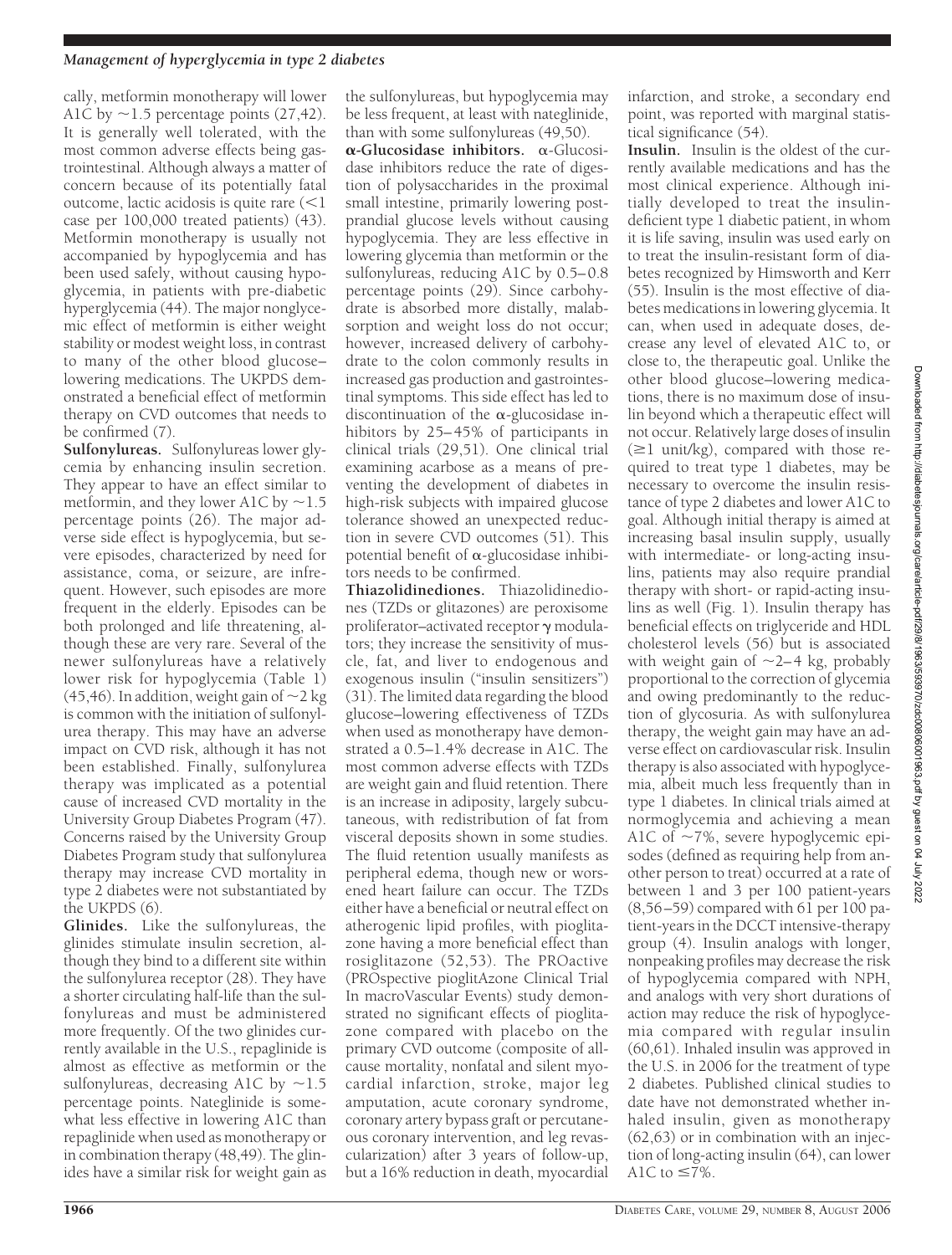# *Management of hyperglycemia in type 2 diabetes*

cally, metformin monotherapy will lower A1C by  $\sim$ 1.5 percentage points (27,42). It is generally well tolerated, with the most common adverse effects being gastrointestinal. Although always a matter of concern because of its potentially fatal outcome, lactic acidosis is quite rare  $(<$   $1$ case per 100,000 treated patients) (43). Metformin monotherapy is usually not accompanied by hypoglycemia and has been used safely, without causing hypoglycemia, in patients with pre-diabetic hyperglycemia (44). The major nonglycemic effect of metformin is either weight stability or modest weight loss, in contrast to many of the other blood glucose– lowering medications. The UKPDS demonstrated a beneficial effect of metformin therapy on CVD outcomes that needs to be confirmed (7).

**Sulfonylureas.** Sulfonylureas lower glycemia by enhancing insulin secretion. They appear to have an effect similar to metformin, and they lower A1C by  $\sim$ 1.5 percentage points (26). The major adverse side effect is hypoglycemia, but severe episodes, characterized by need for assistance, coma, or seizure, are infrequent. However, such episodes are more frequent in the elderly. Episodes can be both prolonged and life threatening, although these are very rare. Several of the newer sulfonylureas have a relatively lower risk for hypoglycemia (Table 1) (45,46). In addition, weight gain of  $\sim$  2 kg is common with the initiation of sulfonylurea therapy. This may have an adverse impact on CVD risk, although it has not been established. Finally, sulfonylurea therapy was implicated as a potential cause of increased CVD mortality in the University Group Diabetes Program (47). Concerns raised by the University Group Diabetes Program study that sulfonylurea therapy may increase CVD mortality in type 2 diabetes were not substantiated by the UKPDS (6).

**Glinides.** Like the sulfonylureas, the glinides stimulate insulin secretion, although they bind to a different site within the sulfonylurea receptor (28). They have a shorter circulating half-life than the sulfonylureas and must be administered more frequently. Of the two glinides currently available in the U.S., repaglinide is almost as effective as metformin or the sulfonylureas, decreasing A1C by  $\sim$ 1.5 percentage points. Nateglinide is somewhat less effective in lowering A1C than repaglinide when used as monotherapy or in combination therapy (48,49). The glinides have a similar risk for weight gain as

the sulfonylureas, but hypoglycemia may be less frequent, at least with nateglinide, than with some sulfonylureas (49,50).

α-Glucosidase inhibitors. α-Glucosidase inhibitors reduce the rate of digestion of polysaccharides in the proximal small intestine, primarily lowering postprandial glucose levels without causing hypoglycemia. They are less effective in lowering glycemia than metformin or the sulfonylureas, reducing A1C by 0.5-0.8 percentage points (29). Since carbohydrate is absorbed more distally, malabsorption and weight loss do not occur; however, increased delivery of carbohydrate to the colon commonly results in increased gas production and gastrointestinal symptoms. This side effect has led to discontinuation of the  $\alpha$ -glucosidase inhibitors by 25– 45% of participants in clinical trials (29,51). One clinical trial examining acarbose as a means of preventing the development of diabetes in high-risk subjects with impaired glucose tolerance showed an unexpected reduction in severe CVD outcomes (51). This potential benefit of  $\alpha$ -glucosidase inhibitors needs to be confirmed.

**Thiazolidinediones.** Thiazolidinediones (TZDs or glitazones) are peroxisome proliferator-activated receptor  $\gamma$  modulators; they increase the sensitivity of muscle, fat, and liver to endogenous and exogenous insulin ("insulin sensitizers") (31). The limited data regarding the blood glucose–lowering effectiveness of TZDs when used as monotherapy have demonstrated a 0.5–1.4% decrease in A1C. The most common adverse effects with TZDs are weight gain and fluid retention. There is an increase in adiposity, largely subcutaneous, with redistribution of fat from visceral deposits shown in some studies. The fluid retention usually manifests as peripheral edema, though new or worsened heart failure can occur. The TZDs either have a beneficial or neutral effect on atherogenic lipid profiles, with pioglitazone having a more beneficial effect than rosiglitazone (52,53). The PROactive (PROspective pioglitAzone Clinical Trial In macroVascular Events) study demonstrated no significant effects of pioglitazone compared with placebo on the primary CVD outcome (composite of allcause mortality, nonfatal and silent myocardial infarction, stroke, major leg amputation, acute coronary syndrome, coronary artery bypass graft or percutaneous coronary intervention, and leg revascularization) after 3 years of follow-up, but a 16% reduction in death, myocardial infarction, and stroke, a secondary end point, was reported with marginal statistical significance (54). **Insulin.** Insulin is the oldest of the cur-

rently available medications and has the most clinical experience. Although initially developed to treat the insulindeficient type 1 diabetic patient, in whom it is life saving, insulin was used early on to treat the insulin-resistant form of diabetes recognized by Himsworth and Kerr (55). Insulin is the most effective of diabetes medications in lowering glycemia. It can, when used in adequate doses, decrease any level of elevated A1C to, or close to, the therapeutic goal. Unlike the other blood glucose–lowering medications, there is no maximum dose of insulin beyond which a therapeutic effect will not occur. Relatively large doses of insulin  $(\geq 1$  unit/kg), compared with those required to treat type 1 diabetes, may be necessary to overcome the insulin resistance of type 2 diabetes and lower A1C to goal. Although initial therapy is aimed at increasing basal insulin supply, usually with intermediate- or long-acting insulins, patients may also require prandial therapy with short- or rapid-acting insulins as well (Fig. 1). Insulin therapy has beneficial effects on triglyceride and HDL cholesterol levels (56) but is associated with weight gain of  $\sim$  2–4 kg, probably proportional to the correction of glycemia and owing predominantly to the reduction of glycosuria. As with sulfonylurea therapy, the weight gain may have an adverse effect on cardiovascular risk. Insulin therapy is also associated with hypoglycemia, albeit much less frequently than in type 1 diabetes. In clinical trials aimed at normoglycemia and achieving a mean A1C of  $\sim$ 7%, severe hypoglycemic episodes (defined as requiring help from another person to treat) occurred at a rate of between 1 and 3 per 100 patient-years  $(8,56-59)$  compared with 61 per 100 patient-years in the DCCT intensive-therapy group (4). Insulin analogs with longer, nonpeaking profiles may decrease the risk of hypoglycemia compared with NPH, and analogs with very short durations of action may reduce the risk of hypoglycemia compared with regular insulin (60,61). Inhaled insulin was approved in the U.S. in 2006 for the treatment of type 2 diabetes. Published clinical studies to date have not demonstrated whether inhaled insulin, given as monotherapy (62,63) or in combination with an injection of long-acting insulin (64), can lower AlC to  $\leq 7\%$ .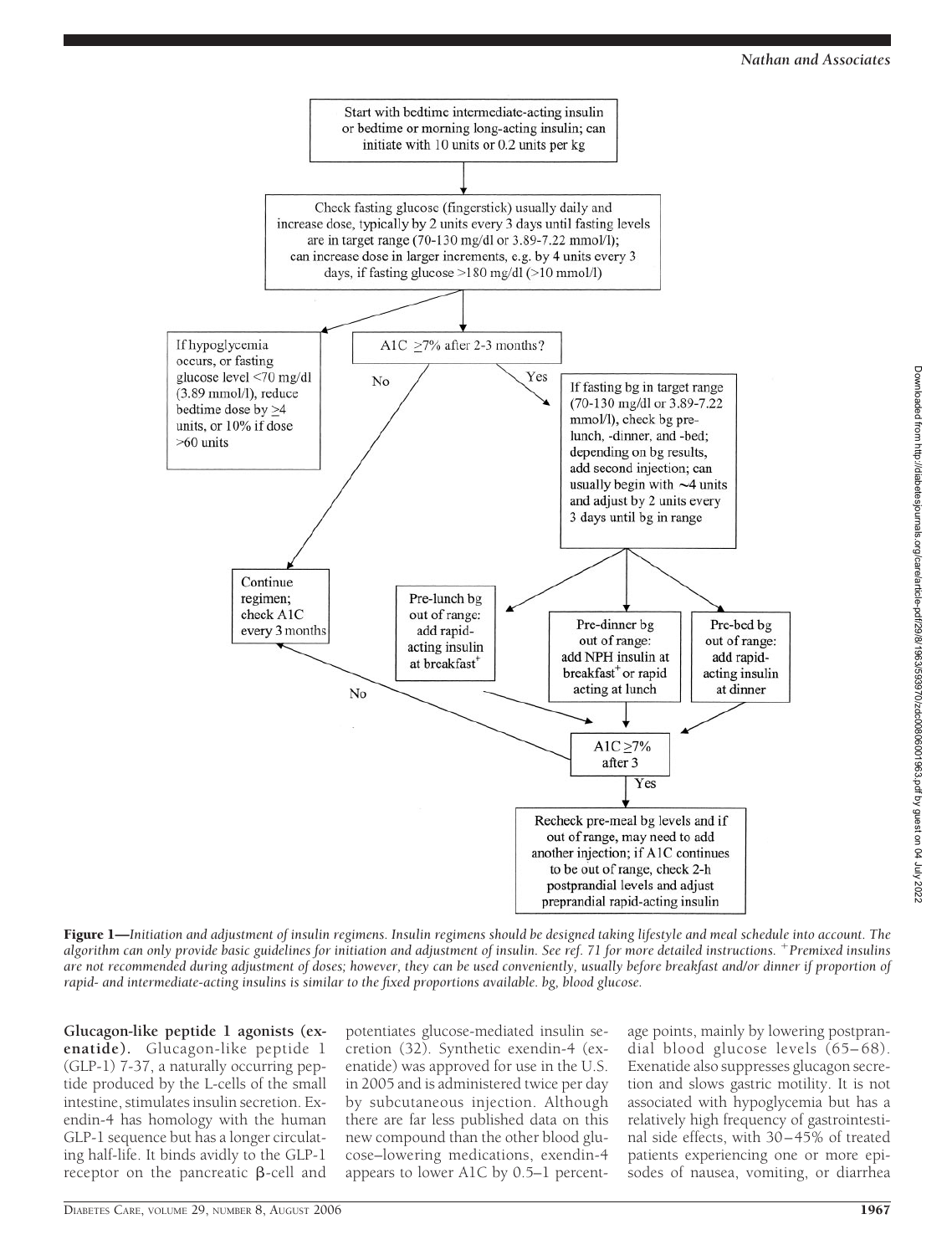

Figure 1—*Initiation and adjustment of insulin regimens. Insulin regimens should be designed taking lifestyle and meal schedule into account. The algorithm can only provide basic guidelines for initiation and adjustment of insulin. See ref. 71 for more detailed instructions. Premixed insulins are not recommended during adjustment of doses; however, they can be used conveniently, usually before breakfast and/or dinner if proportion of rapid- and intermediate-acting insulins is similar to the fixed proportions available. bg, blood glucose.*

**Glucagon-like peptide 1 agonists (exenatide).** Glucagon-like peptide 1 (GLP-1) 7-37, a naturally occurring peptide produced by the L-cells of the small intestine, stimulates insulin secretion. Exendin-4 has homology with the human GLP-1 sequence but has a longer circulating half-life. It binds avidly to the GLP-1 receptor on the pancreatic  $\beta$ -cell and

potentiates glucose-mediated insulin secretion (32). Synthetic exendin-4 (exenatide) was approved for use in the U.S. in 2005 and is administered twice per day by subcutaneous injection. Although there are far less published data on this new compound than the other blood glucose–lowering medications, exendin-4 appears to lower A1C by 0.5–1 percent-

age points, mainly by lowering postprandial blood glucose levels (65–68). Exenatide also suppresses glucagon secretion and slows gastric motility. It is not associated with hypoglycemia but has a relatively high frequency of gastrointestinal side effects, with 30 – 45% of treated patients experiencing one or more episodes of nausea, vomiting, or diarrhea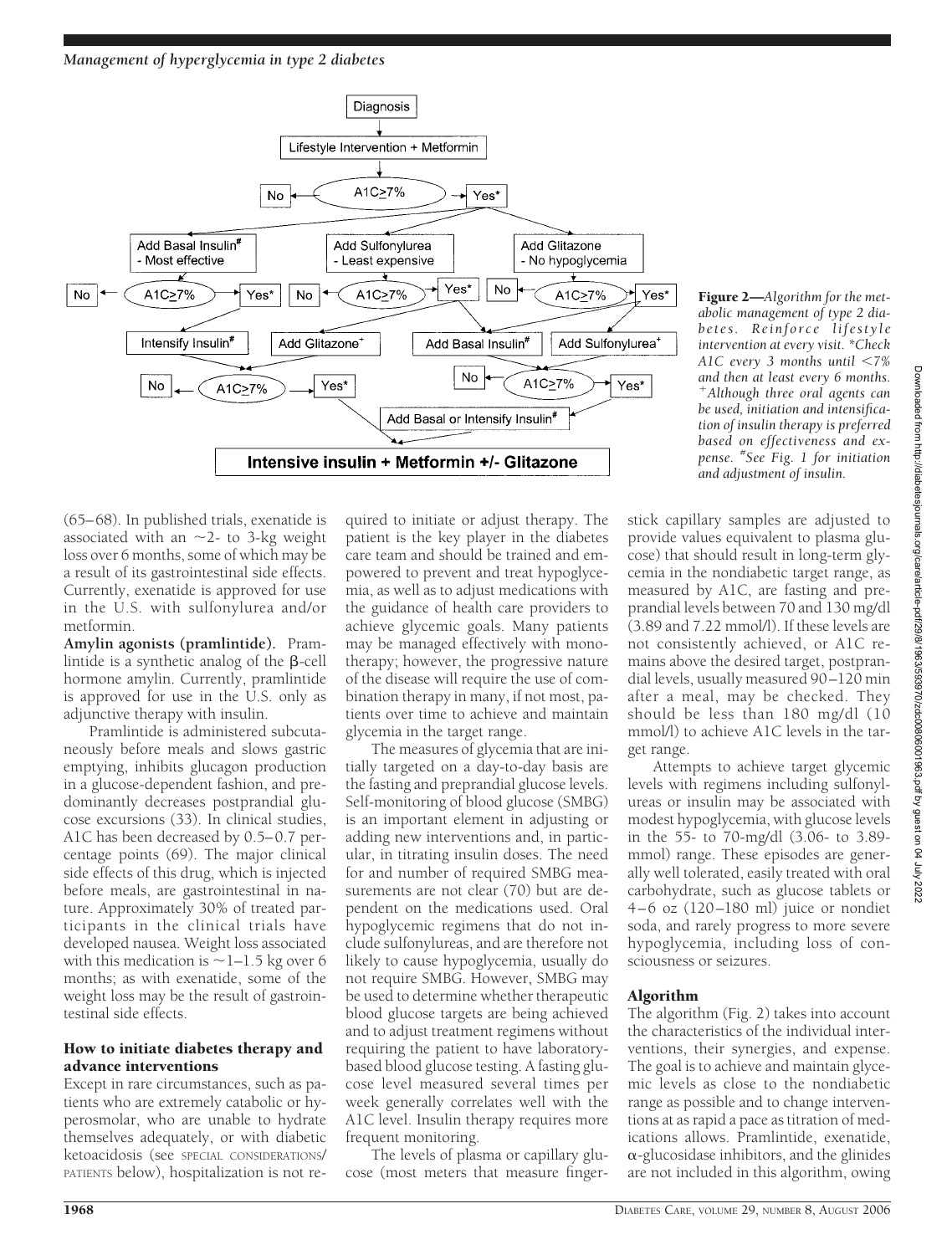

Figure 2—*Algorithm for the metabolic management of type 2 diabetes. Reinforce lifestyle intervention at every visit. \*Check A1C every 3 months until* -*7% and then at least every 6 months. Although three oral agents can be used, initiation and intensification of insulin therapy is preferred based on effectiveness and expense. # See Fig. 1 for initiation and adjustment of insulin.*

(65– 68). In published trials, exenatide is associated with an  $\sim$ 2- to 3-kg weight loss over 6 months, some of which may be a result of its gastrointestinal side effects. Currently, exenatide is approved for use in the U.S. with sulfonylurea and/or metformin.

**Amylin agonists (pramlintide).** Pramlintide is a synthetic analog of the  $\beta$ -cell hormone amylin. Currently, pramlintide is approved for use in the U.S. only as adjunctive therapy with insulin.

Pramlintide is administered subcutaneously before meals and slows gastric emptying, inhibits glucagon production in a glucose-dependent fashion, and predominantly decreases postprandial glucose excursions (33). In clinical studies, A1C has been decreased by 0.5–0.7 percentage points (69). The major clinical side effects of this drug, which is injected before meals, are gastrointestinal in nature. Approximately 30% of treated participants in the clinical trials have developed nausea. Weight loss associated with this medication is  $\sim$  1–1.5 kg over 6 months; as with exenatide, some of the weight loss may be the result of gastrointestinal side effects.

# How to initiate diabetes therapy and advance interventions

Except in rare circumstances, such as patients who are extremely catabolic or hyperosmolar, who are unable to hydrate themselves adequately, or with diabetic ketoacidosis (see SPECIAL CONSIDERATIONS/ PATIENTS below), hospitalization is not re-

quired to initiate or adjust therapy. The patient is the key player in the diabetes care team and should be trained and empowered to prevent and treat hypoglycemia, as well as to adjust medications with the guidance of health care providers to achieve glycemic goals. Many patients may be managed effectively with monotherapy; however, the progressive nature of the disease will require the use of combination therapy in many, if not most, patients over time to achieve and maintain glycemia in the target range.

The measures of glycemia that are initially targeted on a day-to-day basis are the fasting and preprandial glucose levels. Self-monitoring of blood glucose (SMBG) is an important element in adjusting or adding new interventions and, in particular, in titrating insulin doses. The need for and number of required SMBG measurements are not clear (70) but are dependent on the medications used. Oral hypoglycemic regimens that do not include sulfonylureas, and are therefore not likely to cause hypoglycemia, usually do not require SMBG. However, SMBG may be used to determine whether therapeutic blood glucose targets are being achieved and to adjust treatment regimens without requiring the patient to have laboratorybased blood glucose testing. A fasting glucose level measured several times per week generally correlates well with the A1C level. Insulin therapy requires more frequent monitoring.

The levels of plasma or capillary glucose (most meters that measure fingerstick capillary samples are adjusted to provide values equivalent to plasma glucose) that should result in long-term glycemia in the nondiabetic target range, as measured by A1C, are fasting and preprandial levels between 70 and 130 mg/dl (3.89 and 7.22 mmol/l). If these levels are not consistently achieved, or A1C remains above the desired target, postprandial levels, usually measured 90 –120 min after a meal, may be checked. They should be less than 180 mg/dl (10 mmol/l) to achieve A1C levels in the target range.

Attempts to achieve target glycemic levels with regimens including sulfonylureas or insulin may be associated with modest hypoglycemia, with glucose levels in the 55- to 70-mg/dl (3.06- to 3.89 mmol) range. These episodes are generally well tolerated, easily treated with oral carbohydrate, such as glucose tablets or  $4-6$  oz  $(120-180$  ml) juice or nondiet soda, and rarely progress to more severe hypoglycemia, including loss of consciousness or seizures.

# Algorithm

The algorithm (Fig. 2) takes into account the characteristics of the individual interventions, their synergies, and expense. The goal is to achieve and maintain glycemic levels as close to the nondiabetic range as possible and to change interventions at as rapid a pace as titration of medications allows. Pramlintide, exenatide,  $\alpha$ -glucosidase inhibitors, and the glinides are not included in this algorithm, owing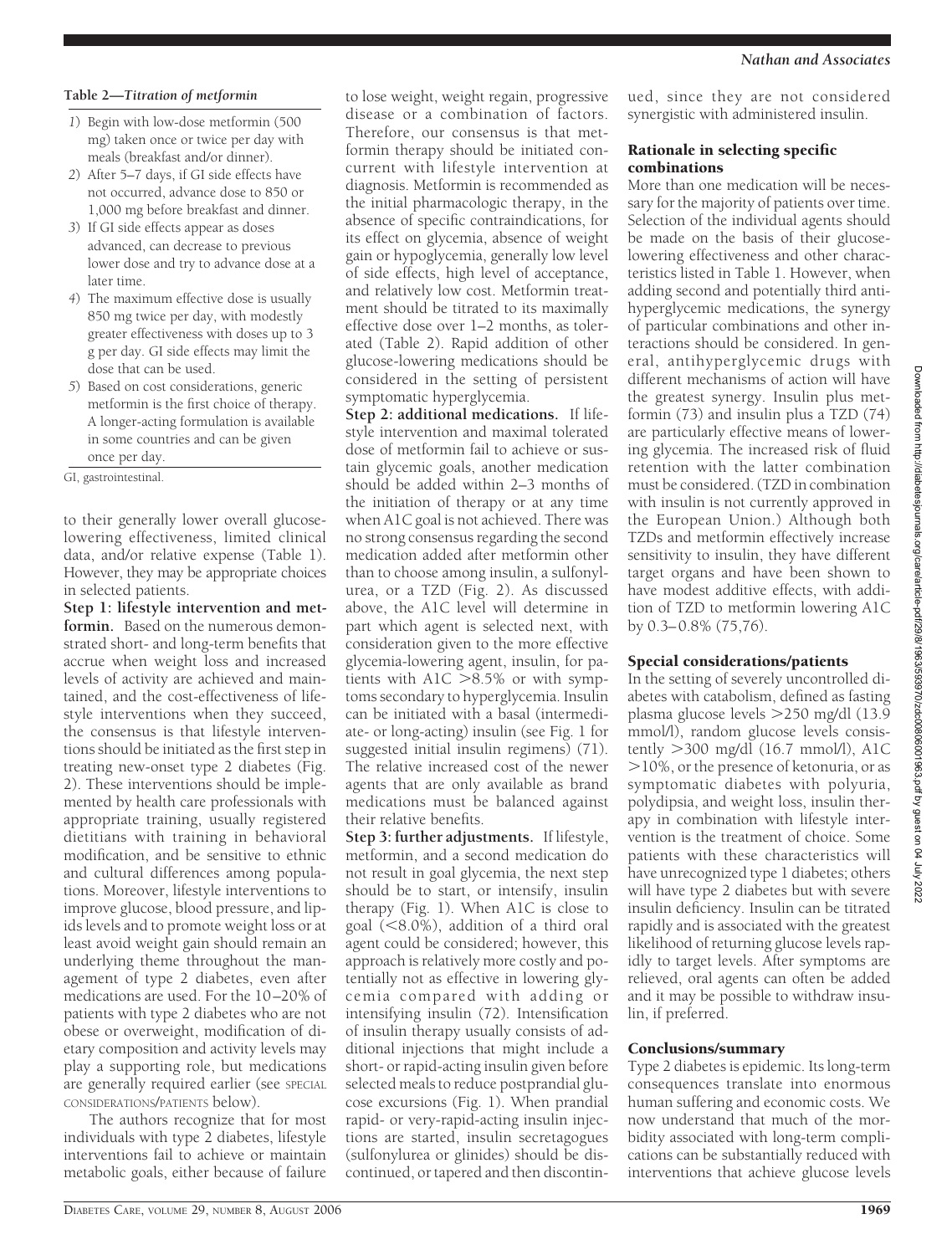# **Table 2—***Titration of metformin*

- *1*) Begin with low-dose metformin (500 mg) taken once or twice per day with meals (breakfast and/or dinner).
- *2*) After 5–7 days, if GI side effects have not occurred, advance dose to 850 or 1,000 mg before breakfast and dinner.
- *3*) If GI side effects appear as doses advanced, can decrease to previous lower dose and try to advance dose at a later time.
- *4*) The maximum effective dose is usually 850 mg twice per day, with modestly greater effectiveness with doses up to 3 g per day. GI side effects may limit the dose that can be used.
- *5*) Based on cost considerations, generic metformin is the first choice of therapy. A longer-acting formulation is available in some countries and can be given once per day.

#### GI, gastrointestinal.

to their generally lower overall glucoselowering effectiveness, limited clinical data, and/or relative expense (Table 1). However, they may be appropriate choices in selected patients.

**Step 1: lifestyle intervention and metformin.** Based on the numerous demonstrated short- and long-term benefits that accrue when weight loss and increased levels of activity are achieved and maintained, and the cost-effectiveness of lifestyle interventions when they succeed, the consensus is that lifestyle interventions should be initiated as the first step in treating new-onset type 2 diabetes (Fig. 2). These interventions should be implemented by health care professionals with appropriate training, usually registered dietitians with training in behavioral modification, and be sensitive to ethnic and cultural differences among populations. Moreover, lifestyle interventions to improve glucose, blood pressure, and lipids levels and to promote weight loss or at least avoid weight gain should remain an underlying theme throughout the management of type 2 diabetes, even after medications are used. For the 10 –20% of patients with type 2 diabetes who are not obese or overweight, modification of dietary composition and activity levels may play a supporting role, but medications are generally required earlier (see SPECIAL CONSIDERATIONS/PATIENTS below).

The authors recognize that for most individuals with type 2 diabetes, lifestyle interventions fail to achieve or maintain metabolic goals, either because of failure

to lose weight, weight regain, progressive disease or a combination of factors. Therefore, our consensus is that metformin therapy should be initiated concurrent with lifestyle intervention at diagnosis. Metformin is recommended as the initial pharmacologic therapy, in the absence of specific contraindications, for its effect on glycemia, absence of weight gain or hypoglycemia, generally low level of side effects, high level of acceptance, and relatively low cost. Metformin treatment should be titrated to its maximally effective dose over 1–2 months, as tolerated (Table 2). Rapid addition of other glucose-lowering medications should be considered in the setting of persistent symptomatic hyperglycemia.

**Step 2: additional medications.** If lifestyle intervention and maximal tolerated dose of metformin fail to achieve or sustain glycemic goals, another medication should be added within 2–3 months of the initiation of therapy or at any time when A1C goal is not achieved. There was no strong consensus regarding the second medication added after metformin other than to choose among insulin, a sulfonylurea, or a TZD (Fig. 2). As discussed above, the A1C level will determine in part which agent is selected next, with consideration given to the more effective glycemia-lowering agent, insulin, for patients with A1C  $>8.5\%$  or with symptoms secondary to hyperglycemia. Insulin can be initiated with a basal (intermediate- or long-acting) insulin (see Fig. 1 for suggested initial insulin regimens) (71). The relative increased cost of the newer agents that are only available as brand medications must be balanced against their relative benefits.

**Step 3: further adjustments.** If lifestyle, metformin, and a second medication do not result in goal glycemia, the next step should be to start, or intensify, insulin therapy (Fig. 1). When A1C is close to goal (-8.0%), addition of a third oral agent could be considered; however, this approach is relatively more costly and potentially not as effective in lowering glycemia compared with adding or intensifying insulin (72). Intensification of insulin therapy usually consists of additional injections that might include a short- or rapid-acting insulin given before selected meals to reduce postprandial glucose excursions (Fig. 1). When prandial rapid- or very-rapid-acting insulin injections are started, insulin secretagogues (sulfonylurea or glinides) should be discontinued, or tapered and then discontinued, since they are not considered synergistic with administered insulin.

## Rationale in selecting specific combinations

More than one medication will be necessary for the majority of patients over time. Selection of the individual agents should be made on the basis of their glucoselowering effectiveness and other characteristics listed in Table 1. However, when adding second and potentially third antihyperglycemic medications, the synergy of particular combinations and other interactions should be considered. In general, antihyperglycemic drugs with different mechanisms of action will have the greatest synergy. Insulin plus metformin (73) and insulin plus a TZD (74) are particularly effective means of lowering glycemia. The increased risk of fluid retention with the latter combination must be considered. (TZD in combination with insulin is not currently approved in the European Union.) Although both TZDs and metformin effectively increase sensitivity to insulin, they have different target organs and have been shown to have modest additive effects, with addition of TZD to metformin lowering A1C by 0.3– 0.8% (75,76).

# Special considerations/patients

In the setting of severely uncontrolled diabetes with catabolism, defined as fasting plasma glucose levels 250 mg/dl (13.9 mmol/l), random glucose levels consistently  $>$ 300 mg/dl (16.7 mmol/l), A1C  $>$ 10%, or the presence of ketonuria, or as symptomatic diabetes with polyuria, polydipsia, and weight loss, insulin therapy in combination with lifestyle intervention is the treatment of choice. Some patients with these characteristics will have unrecognized type 1 diabetes; others will have type 2 diabetes but with severe insulin deficiency. Insulin can be titrated rapidly and is associated with the greatest likelihood of returning glucose levels rapidly to target levels. After symptoms are relieved, oral agents can often be added and it may be possible to withdraw insulin, if preferred.

### Conclusions/summary

Type 2 diabetes is epidemic. Its long-term consequences translate into enormous human suffering and economic costs. We now understand that much of the morbidity associated with long-term complications can be substantially reduced with interventions that achieve glucose levels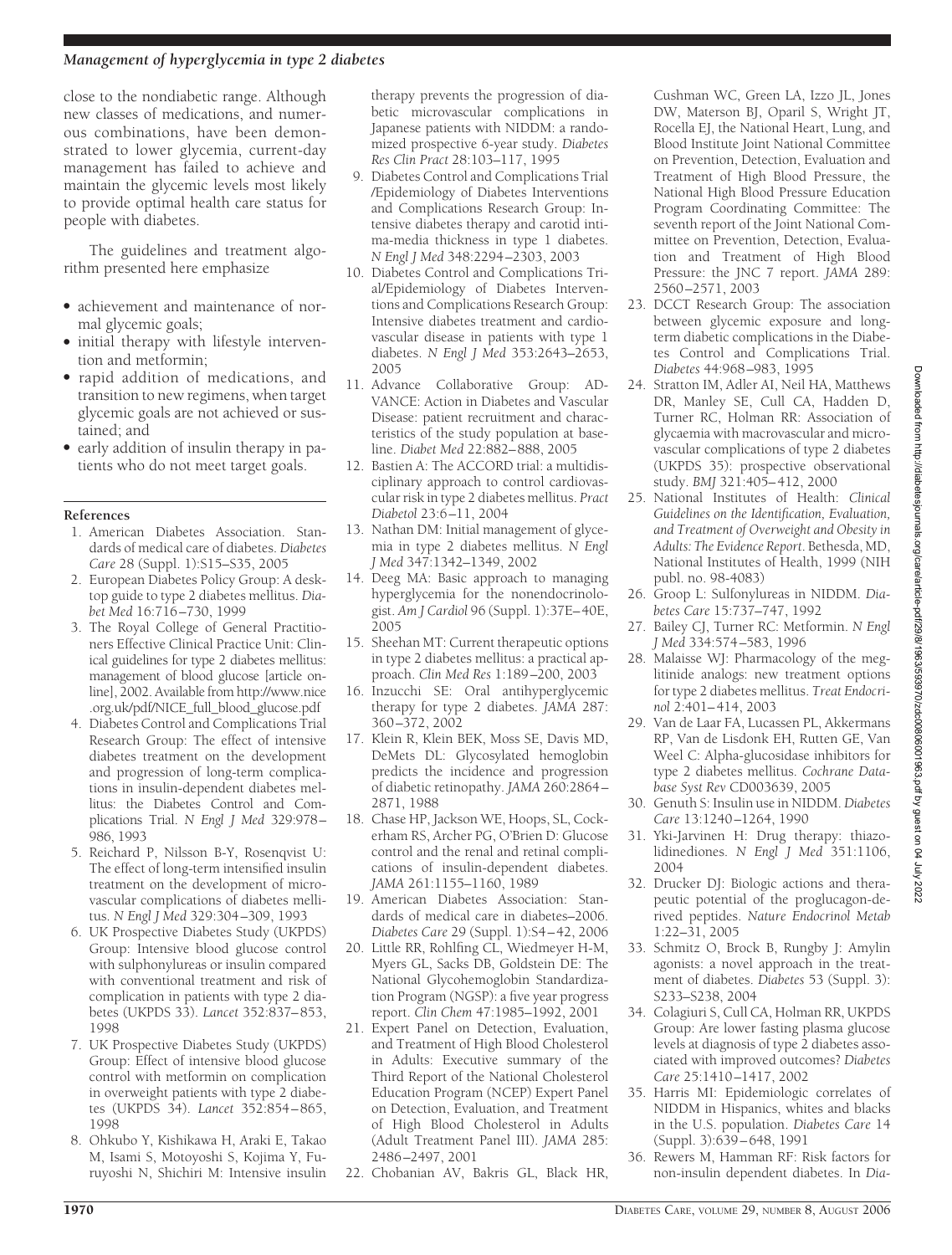# *Management of hyperglycemia in type 2 diabetes*

close to the nondiabetic range. Although new classes of medications, and numerous combinations, have been demonstrated to lower glycemia, current-day management has failed to achieve and maintain the glycemic levels most likely to provide optimal health care status for people with diabetes.

The guidelines and treatment algorithm presented here emphasize

- achievement and maintenance of normal glycemic goals;
- initial therapy with lifestyle intervention and metformin;
- rapid addition of medications, and transition to new regimens, when target glycemic goals are not achieved or sustained; and
- early addition of insulin therapy in patients who do not meet target goals.

## **References**

- 1. American Diabetes Association. Standards of medical care of diabetes. *Diabetes Care* 28 (Suppl. 1):S15–S35, 2005
- 2. European Diabetes Policy Group: A desktop guide to type 2 diabetes mellitus. *Diabet Med* 16:716 –730, 1999
- 3. The Royal College of General Practitioners Effective Clinical Practice Unit: Clinical guidelines for type 2 diabetes mellitus: management of blood glucose [article online], 2002. Available from http://www.nice .org.uk/pdf/NICE\_full\_blood\_glucose.pdf
- 4. Diabetes Control and Complications Trial Research Group: The effect of intensive diabetes treatment on the development and progression of long-term complications in insulin-dependent diabetes mellitus: the Diabetes Control and Complications Trial. *N Engl J Med* 329:978-986, 1993
- 5. Reichard P, Nilsson B-Y, Rosenqvist U: The effect of long-term intensified insulin treatment on the development of microvascular complications of diabetes mellitus. *N Engl J Med* 329:304 –309, 1993
- 6. UK Prospective Diabetes Study (UKPDS) Group: Intensive blood glucose control with sulphonylureas or insulin compared with conventional treatment and risk of complication in patients with type 2 diabetes (UKPDS 33). *Lancet* 352:837– 853, 1998
- 7. UK Prospective Diabetes Study (UKPDS) Group: Effect of intensive blood glucose control with metformin on complication in overweight patients with type 2 diabetes (UKPDS 34). *Lancet* 352:854 – 865, 1998
- 8. Ohkubo Y, Kishikawa H, Araki E, Takao M, Isami S, Motoyoshi S, Kojima Y, Furuyoshi N, Shichiri M: Intensive insulin

therapy prevents the progression of diabetic microvascular complications in Japanese patients with NIDDM: a randomized prospective 6-year study. *Diabetes Res Clin Pract* 28:103–117, 1995

- 9. Diabetes Control and Complications Trial /Epidemiology of Diabetes Interventions and Complications Research Group: Intensive diabetes therapy and carotid intima-media thickness in type 1 diabetes. *N Engl J Med* 348:2294 –2303, 2003
- 10. Diabetes Control and Complications Trial/Epidemiology of Diabetes Interventions and Complications Research Group: Intensive diabetes treatment and cardiovascular disease in patients with type 1 diabetes. *N Engl J Med* 353:2643–2653, 2005
- 11. Advance Collaborative Group: AD-VANCE: Action in Diabetes and Vascular Disease: patient recruitment and characteristics of the study population at baseline. *Diabet Med* 22:882– 888, 2005
- 12. Bastien A: The ACCORD trial: a multidisciplinary approach to control cardiovascular risk in type 2 diabetes mellitus. *Pract Diabetol* 23:6 –11, 2004
- 13. Nathan DM: Initial management of glycemia in type 2 diabetes mellitus. *N Engl J Med* 347:1342–1349, 2002
- 14. Deeg MA: Basic approach to managing hyperglycemia for the nonendocrinologist. *Am J Cardiol* 96 (Suppl. 1):37E– 40E, 2005
- 15. Sheehan MT: Current therapeutic options in type 2 diabetes mellitus: a practical approach. *Clin Med Res* 1:189 –200, 2003
- 16. Inzucchi SE: Oral antihyperglycemic therapy for type 2 diabetes. *JAMA* 287: 360 –372, 2002
- 17. Klein R, Klein BEK, Moss SE, Davis MD, DeMets DL: Glycosylated hemoglobin predicts the incidence and progression of diabetic retinopathy. *JAMA* 260:2864 – 2871, 1988
- 18. Chase HP, Jackson WE, Hoops, SL, Cockerham RS, Archer PG, O'Brien D: Glucose control and the renal and retinal complications of insulin-dependent diabetes. *JAMA* 261:1155–1160, 1989
- 19. American Diabetes Association: Standards of medical care in diabetes–2006. *Diabetes Care* 29 (Suppl. 1):S4 – 42, 2006
- 20. Little RR, Rohlfing CL, Wiedmeyer H-M, Myers GL, Sacks DB, Goldstein DE: The National Glycohemoglobin Standardization Program (NGSP): a five year progress report. *Clin Chem* 47:1985–1992, 2001
- 21. Expert Panel on Detection, Evaluation, and Treatment of High Blood Cholesterol in Adults: Executive summary of the Third Report of the National Cholesterol Education Program (NCEP) Expert Panel on Detection, Evaluation, and Treatment of High Blood Cholesterol in Adults (Adult Treatment Panel III). *JAMA* 285: 2486 –2497, 2001
- 22. Chobanian AV, Bakris GL, Black HR,

Cushman WC, Green LA, Izzo JL, Jones DW, Materson BJ, Oparil S, Wright JT, Rocella EJ, the National Heart, Lung, and Blood Institute Joint National Committee on Prevention, Detection, Evaluation and Treatment of High Blood Pressure, the National High Blood Pressure Education Program Coordinating Committee: The seventh report of the Joint National Committee on Prevention, Detection, Evaluation and Treatment of High Blood Pressure: the JNC 7 report. *JAMA* 289: 2560 –2571, 2003

- 23. DCCT Research Group: The association between glycemic exposure and longterm diabetic complications in the Diabetes Control and Complications Trial. *Diabetes* 44:968 –983, 1995
- 24. Stratton IM, Adler AI, Neil HA, Matthews DR, Manley SE, Cull CA, Hadden D, Turner RC, Holman RR: Association of glycaemia with macrovascular and microvascular complications of type 2 diabetes (UKPDS 35): prospective observational study. *BMJ* 321:405– 412, 2000
- 25. National Institutes of Health: *Clinical Guidelines on the Identification, Evaluation, and Treatment of Overweight and Obesity in Adults: The Evidence Report*. Bethesda, MD, National Institutes of Health, 1999 (NIH publ. no. 98-4083)
- 26. Groop L: Sulfonylureas in NIDDM. *Diabetes Care* 15:737–747, 1992
- 27. Bailey CJ, Turner RC: Metformin. *N Engl J Med* 334:574 –583, 1996
- 28. Malaisse WJ: Pharmacology of the meglitinide analogs: new treatment options for type 2 diabetes mellitus. *Treat Endocrinol* 2:401– 414, 2003
- 29. Van de Laar FA, Lucassen PL, Akkermans RP, Van de Lisdonk EH, Rutten GE, Van Weel C: Alpha-glucosidase inhibitors for type 2 diabetes mellitus. *Cochrane Database Syst Rev* CD003639, 2005
- 30. Genuth S: Insulin use in NIDDM.*Diabetes Care* 13:1240 –1264, 1990
- 31. Yki-Jarvinen H: Drug therapy: thiazolidinediones. *N Engl J Med* 351:1106, 2004
- 32. Drucker DJ: Biologic actions and therapeutic potential of the proglucagon-derived peptides. *Nature Endocrinol Metab* 1:22–31, 2005
- 33. Schmitz O, Brock B, Rungby J: Amylin agonists: a novel approach in the treatment of diabetes. *Diabetes* 53 (Suppl. 3): S233–S238, 2004
- 34. Colagiuri S, Cull CA, Holman RR, UKPDS Group: Are lower fasting plasma glucose levels at diagnosis of type 2 diabetes associated with improved outcomes? *Diabetes Care* 25:1410 –1417, 2002
- 35. Harris MI: Epidemiologic correlates of NIDDM in Hispanics, whites and blacks in the U.S. population. *Diabetes Care* 14 (Suppl. 3):639 – 648, 1991
- 36. Rewers M, Hamman RF: Risk factors for non-insulin dependent diabetes. In *Dia-*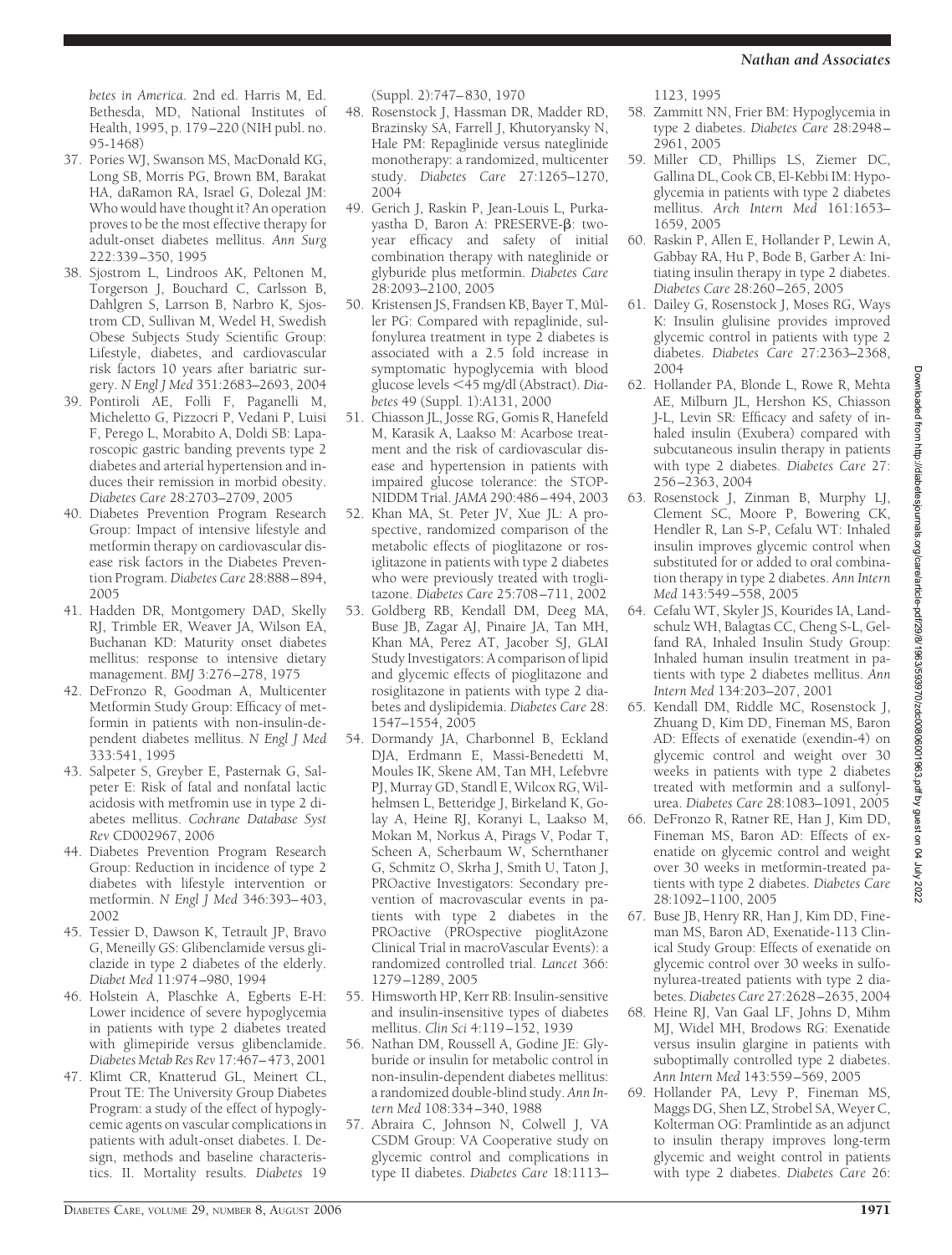*betes in America*. 2nd ed. Harris M, Ed. Bethesda, MD, National Institutes of Health, 1995, p. 179 –220 (NIH publ. no. 95-1468)

- 37. Pories WJ, Swanson MS, MacDonald KG, Long SB, Morris PG, Brown BM, Barakat HA, daRamon RA, Israel G, Dolezal JM: Who would have thought it? An operation proves to be the most effective therapy for adult-onset diabetes mellitus. *Ann Surg* 222:339 –350, 1995
- 38. Sjostrom L, Lindroos AK, Peltonen M, Torgerson J, Bouchard C, Carlsson B, Dahlgren S, Larrson B, Narbro K, Sjostrom CD, Sullivan M, Wedel H, Swedish Obese Subjects Study Scientific Group: Lifestyle, diabetes, and cardiovascular risk factors 10 years after bariatric surgery. *N Engl J Med* 351:2683–2693, 2004
- 39. Pontiroli AE, Folli F, Paganelli M, Micheletto G, Pizzocri P, Vedani P, Luisi F, Perego L, Morabito A, Doldi SB: Laparoscopic gastric banding prevents type 2 diabetes and arterial hypertension and induces their remission in morbid obesity. *Diabetes Care* 28:2703–2709, 2005
- 40. Diabetes Prevention Program Research Group: Impact of intensive lifestyle and metformin therapy on cardiovascular disease risk factors in the Diabetes Prevention Program. *Diabetes Care* 28:888 – 894, 2005
- 41. Hadden DR, Montgomery DAD, Skelly RJ, Trimble ER, Weaver JA, Wilson EA, Buchanan KD: Maturity onset diabetes mellitus: response to intensive dietary management. *BMJ* 3:276 –278, 1975
- 42. DeFronzo R, Goodman A, Multicenter Metformin Study Group: Efficacy of metformin in patients with non-insulin-dependent diabetes mellitus. *N Engl J Med* 333:541, 1995
- 43. Salpeter S, Greyber E, Pasternak G, Salpeter E: Risk of fatal and nonfatal lactic acidosis with metfromin use in type 2 diabetes mellitus. *Cochrane Database Syst Rev* CD002967, 2006
- 44. Diabetes Prevention Program Research Group: Reduction in incidence of type 2 diabetes with lifestyle intervention or metformin. *N Engl J Med* 346:393– 403, 2002
- 45. Tessier D, Dawson K, Tetrault JP, Bravo G, Meneilly GS: Glibenclamide versus gliclazide in type 2 diabetes of the elderly. *Diabet Med* 11:974 –980, 1994
- 46. Holstein A, Plaschke A, Egberts E-H: Lower incidence of severe hypoglycemia in patients with type 2 diabetes treated with glimepiride versus glibenclamide. *Diabetes Metab Res Rev* 17:467– 473, 2001
- 47. Klimt CR, Knatterud GL, Meinert CL, Prout TE: The University Group Diabetes Program: a study of the effect of hypoglycemic agents on vascular complications in patients with adult-onset diabetes. I. Design, methods and baseline characteristics. II. Mortality results. *Diabetes* 19

(Suppl. 2):747– 830, 1970

- 48. Rosenstock J, Hassman DR, Madder RD, Brazinsky SA, Farrell J, Khutoryansky N, Hale PM: Repaglinide versus nateglinide monotherapy: a randomized, multicenter study. *Diabetes Care* 27:1265–1270, 2004
- 49. Gerich J, Raskin P, Jean-Louis L, Purkayastha D, Baron A: PRESERVE- $\beta$ : twoyear efficacy and safety of initial combination therapy with nateglinide or glyburide plus metformin. *Diabetes Care* 28:2093–2100, 2005
- 50. Kristensen JS, Frandsen KB, Bayer T, Müller PG: Compared with repaglinide, sulfonylurea treatment in type 2 diabetes is associated with a 2.5 fold increase in symptomatic hypoglycemia with blood glucose levels -45 mg/dl (Abstract). *Diabetes* 49 (Suppl. 1):A131, 2000
- 51. Chiasson JL, Josse RG, Gomis R, Hanefeld M, Karasik A, Laakso M: Acarbose treatment and the risk of cardiovascular disease and hypertension in patients with impaired glucose tolerance: the STOP-NIDDM Trial. *JAMA* 290:486 – 494, 2003
- 52. Khan MA, St. Peter JV, Xue JL: A prospective, randomized comparison of the metabolic effects of pioglitazone or rosiglitazone in patients with type 2 diabetes who were previously treated with troglitazone. *Diabetes Care* 25:708 –711, 2002
- 53. Goldberg RB, Kendall DM, Deeg MA, Buse JB, Zagar AJ, Pinaire JA, Tan MH, Khan MA, Perez AT, Jacober SJ, GLAI Study Investigators: A comparison of lipid and glycemic effects of pioglitazone and rosiglitazone in patients with type 2 diabetes and dyslipidemia. *Diabetes Care* 28: 1547–1554, 2005
- 54. Dormandy JA, Charbonnel B, Eckland DJA, Erdmann E, Massi-Benedetti M, Moules IK, Skene AM, Tan MH, Lefebvre PJ, Murray GD, Standl E, Wilcox RG, Wilhelmsen L, Betteridge J, Birkeland K, Golay A, Heine RJ, Koranyi L, Laakso M, Mokan M, Norkus A, Pirags V, Podar T, Scheen A, Scherbaum W, Schernthaner G, Schmitz O, Skrha J, Smith U, Taton J, PROactive Investigators: Secondary prevention of macrovascular events in patients with type 2 diabetes in the PROactive (PROspective pioglitAzone Clinical Trial in macroVascular Events): a randomized controlled trial. *Lancet* 366: 1279 –1289, 2005
- 55. Himsworth HP, Kerr RB: Insulin-sensitive and insulin-insensitive types of diabetes mellitus. *Clin Sci* 4:119 –152, 1939
- 56. Nathan DM, Roussell A, Godine JE: Glyburide or insulin for metabolic control in non-insulin-dependent diabetes mellitus: a randomized double-blind study. *Ann Intern Med* 108:334 –340, 1988
- 57. Abraira C, Johnson N, Colwell J, VA CSDM Group: VA Cooperative study on glycemic control and complications in type II diabetes. *Diabetes Care* 18:1113–

1123, 1995

- 58. Zammitt NN, Frier BM: Hypoglycemia in type 2 diabetes. *Diabetes Care* 28:2948 – 2961, 2005
- 59. Miller CD, Phillips LS, Ziemer DC, Gallina DL, Cook CB, El-Kebbi IM: Hypoglycemia in patients with type 2 diabetes mellitus. *Arch Intern Med* 161:1653– 1659, 2005
- 60. Raskin P, Allen E, Hollander P, Lewin A, Gabbay RA, Hu P, Bode B, Garber A: Initiating insulin therapy in type 2 diabetes. *Diabetes Care* 28:260 –265, 2005
- 61. Dailey G, Rosenstock J, Moses RG, Ways K: Insulin glulisine provides improved glycemic control in patients with type 2 diabetes. *Diabetes Care* 27:2363–2368, 2004
- 62. Hollander PA, Blonde L, Rowe R, Mehta AE, Milburn JL, Hershon KS, Chiasson J-L, Levin SR: Efficacy and safety of inhaled insulin (Exubera) compared with subcutaneous insulin therapy in patients with type 2 diabetes. *Diabetes Care* 27: 256 –2363, 2004
- 63. Rosenstock J, Zinman B, Murphy LJ, Clement SC, Moore P, Bowering CK, Hendler R, Lan S-P, Cefalu WT: Inhaled insulin improves glycemic control when substituted for or added to oral combination therapy in type 2 diabetes. *Ann Intern Med* 143:549 –558, 2005
- 64. Cefalu WT, Skyler JS, Kourides IA, Landschulz WH, Balagtas CC, Cheng S-L, Gelfand RA, Inhaled Insulin Study Group: Inhaled human insulin treatment in patients with type 2 diabetes mellitus. *Ann Intern Med* 134:203–207, 2001
- 65. Kendall DM, Riddle MC, Rosenstock J, Zhuang D, Kim DD, Fineman MS, Baron AD: Effects of exenatide (exendin-4) on glycemic control and weight over 30 weeks in patients with type 2 diabetes treated with metformin and a sulfonylurea. *Diabetes Care* 28:1083–1091, 2005
- 66. DeFronzo R, Ratner RE, Han J, Kim DD, Fineman MS, Baron AD: Effects of exenatide on glycemic control and weight over 30 weeks in metformin-treated patients with type 2 diabetes. *Diabetes Care* 28:1092–1100, 2005
- 67. Buse JB, Henry RR, Han J, Kim DD, Fineman MS, Baron AD, Exenatide-113 Clinical Study Group: Effects of exenatide on glycemic control over 30 weeks in sulfonylurea-treated patients with type 2 diabetes.*Diabetes Care* 27:2628 –2635, 2004
- 68. Heine RJ, Van Gaal LF, Johns D, Mihm MJ, Widel MH, Brodows RG: Exenatide versus insulin glargine in patients with suboptimally controlled type 2 diabetes. *Ann Intern Med* 143:559 –569, 2005
- 69. Hollander PA, Levy P, Fineman MS, Maggs DG, Shen LZ, Strobel SA, Weyer C, Kolterman OG: Pramlintide as an adjunct to insulin therapy improves long-term glycemic and weight control in patients with type 2 diabetes. *Diabetes Care* 26: